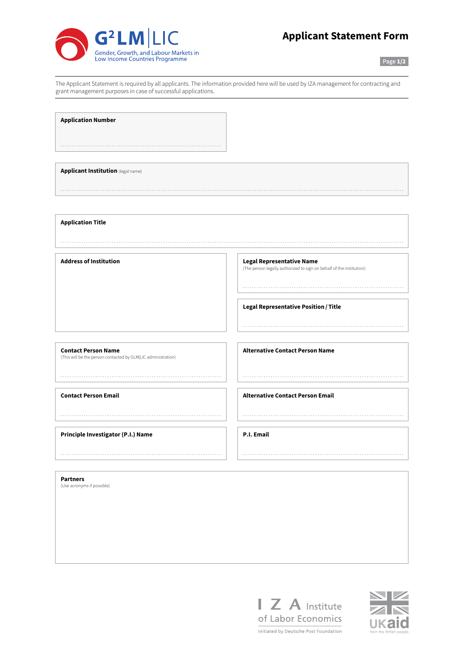

## **Applicant Statement Form**

**Page** 1/2

The Applicant Statement is required by all applicants. The information provided here will be used by IZA management for contracting and grant management purposes in case of successful applications.

**Application Number**

**Applicant Institution** (legal name)

**Application Title**

**Address of Institution Legal Representative Name**

(The person legally authorized to sign on behalf of the institution)

**Legal Representative Position / Title**

**Contact Person Name** (This will be the person contacted by GLM|LIC administration)

**Contact Person Email**

**Principle Investigator (P.I.) Name**

**Alternative Contact Person Name**

**Alternative Contact Person Email**

**P.I. Email**

**Partners**

(Use acronyms if possible)